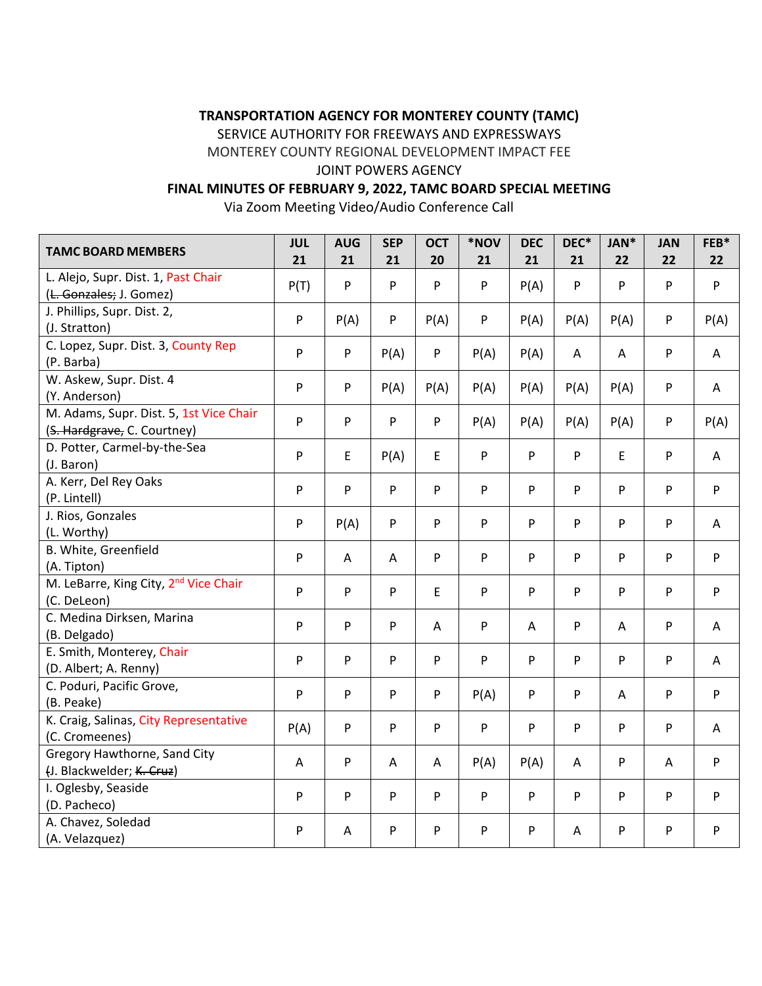# **TRANSPORTATION AGENCY FOR MONTEREY COUNTY (TAMC)**

SERVICE AUTHORITY FOR FREEWAYS AND EXPRESSWAYS

MONTEREY COUNTY REGIONAL DEVELOPMENT IMPACT FEE

## JOINT POWERS AGENCY

# **FINAL MINUTES OF FEBRUARY 9, 2022, TAMC BOARD SPECIAL MEETING**

Via Zoom Meeting Video/Audio Conference Call

| <b>TAMC BOARD MEMBERS</b>                                              | <b>JUL</b><br>21 | <b>AUG</b><br>21 | <b>SEP</b><br>21 | <b>OCT</b><br>20 | *NOV<br>21 | <b>DEC</b><br>21 | DEC*<br>21   | JAN*<br>22     | <b>JAN</b><br>22 | FEB*<br>22 |
|------------------------------------------------------------------------|------------------|------------------|------------------|------------------|------------|------------------|--------------|----------------|------------------|------------|
| L. Alejo, Supr. Dist. 1, Past Chair<br>(L. Gonzales; J. Gomez)         | P(T)             | P                | P                | ${\sf P}$        | P          | P(A)             | P            | P              | P                | P          |
| J. Phillips, Supr. Dist. 2,<br>(J. Stratton)                           | P                | P(A)             | P                | P(A)             | P          | P(A)             | P(A)         | P(A)           | P                | P(A)       |
| C. Lopez, Supr. Dist. 3, County Rep<br>(P. Barba)                      | P                | P                | P(A)             | ${\sf P}$        | P(A)       | P(A)             | $\mathsf{A}$ | $\overline{A}$ | P                | A          |
| W. Askew, Supr. Dist. 4<br>(Y. Anderson)                               | P                | ${\sf P}$        | P(A)             | P(A)             | P(A)       | P(A)             | P(A)         | P(A)           | P                | A          |
| M. Adams, Supr. Dist. 5, 1st Vice Chair<br>(S. Hardgrave, C. Courtney) | P                | P                | P                | ${\sf P}$        | P(A)       | P(A)             | P(A)         | P(A)           | P                | P(A)       |
| D. Potter, Carmel-by-the-Sea<br>(J. Baron)                             | P                | E                | P(A)             | $\mathsf E$      | P          | ${\sf P}$        | P            | E              | P                | A          |
| A. Kerr, Del Rey Oaks<br>(P. Lintell)                                  | P                | P                | P                | P                | P          | P                | P            | P              | P                | P          |
| J. Rios, Gonzales<br>(L. Worthy)                                       | P                | P(A)             | P                | P                | P          | ${\sf P}$        | P            | P              | P                | A          |
| B. White, Greenfield<br>(A. Tipton)                                    | P                | A                | A                | P                | P          | P                | P            | P              | P                | P          |
| M. LeBarre, King City, 2 <sup>nd</sup> Vice Chair<br>(C. DeLeon)       | P                | P                | P                | E                | P          | P                | P            | P              | P                | P          |
| C. Medina Dirksen, Marina<br>(B. Delgado)                              | P                | P                | P                | $\mathsf{A}$     | P          | A                | P            | $\overline{A}$ | P                | A          |
| E. Smith, Monterey, Chair<br>(D. Albert; A. Renny)                     | P                | P                | P                | P                | P          | P                | P            | P              | P                | A          |
| C. Poduri, Pacific Grove,<br>(B. Peake)                                | P                | P                | P                | P                | P(A)       | P                | ${\sf P}$    | $\mathsf{A}$   | P                | P          |
| K. Craig, Salinas, City Representative<br>(C. Cromeenes)               | P(A)             | P                | P                | P                | P          | P                | P            | P              | P                | A          |
| Gregory Hawthorne, Sand City<br>(J. Blackwelder; K. Cruz)              | A                | ${\sf P}$        | A                | A                | P(A)       | P(A)             | A            | P              | A                | P          |
| I. Oglesby, Seaside<br>(D. Pacheco)                                    | P                | P                | P                | ${\sf P}$        | P          | ${\sf P}$        | P            | P              | P                | P          |
| A. Chavez, Soledad<br>(A. Velazquez)                                   | P                | $\overline{A}$   | P                | P                | P          | P                | $\mathsf{A}$ | P              | P                | P          |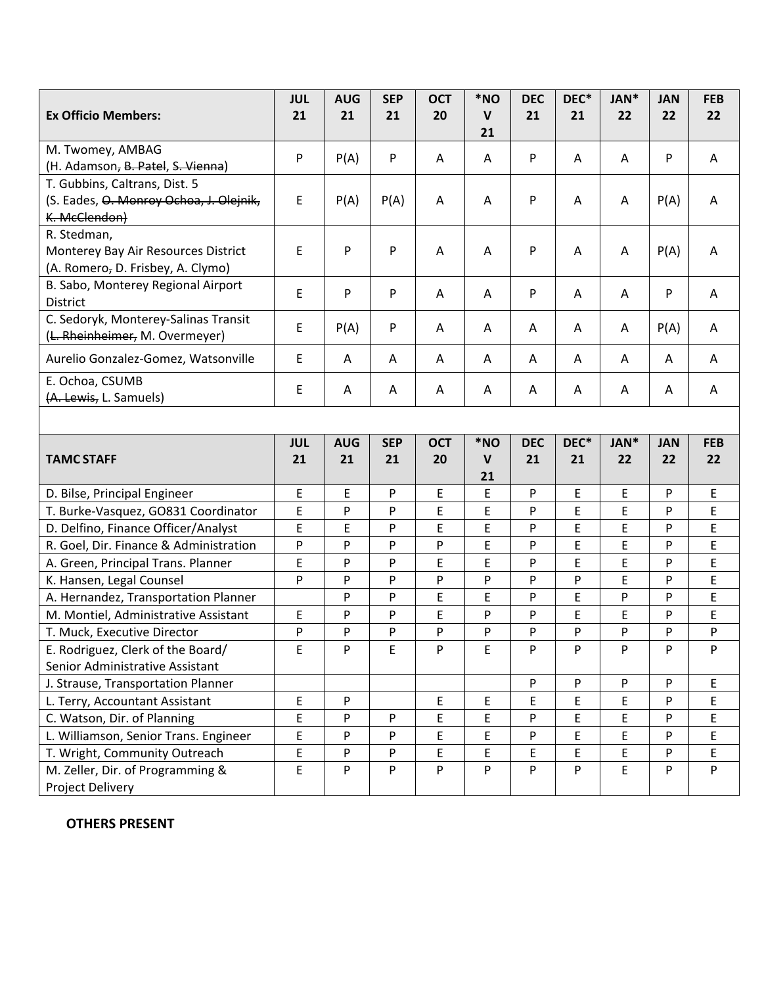|                                                                          | <b>JUL</b> | <b>AUG</b> | <b>SEP</b> | <b>OCT</b> | *NO                | <b>DEC</b>   | DEC* | JAN*        | <b>JAN</b> | <b>FEB</b> |
|--------------------------------------------------------------------------|------------|------------|------------|------------|--------------------|--------------|------|-------------|------------|------------|
| <b>Ex Officio Members:</b>                                               | 21         | 21         | 21         | 20         | $\mathsf{V}$       | 21           | 21   | 22          | 22         | 22         |
|                                                                          |            |            |            |            | 21                 |              |      |             |            |            |
| M. Twomey, AMBAG                                                         | P          | P(A)       | P          | A          | A                  | P            | A    | A           | P          | A          |
| (H. Adamson, B. Patel, S. Vienna)                                        |            |            |            |            |                    |              |      |             |            |            |
| T. Gubbins, Caltrans, Dist. 5                                            |            |            |            |            |                    |              |      |             |            |            |
| (S. Eades, O. Monroy Ochoa, J. Olejnik,                                  | E          | P(A)       | P(A)       | A          | A                  | P            | Α    | Α           | P(A)       | Α          |
| K. McClendon)                                                            |            |            |            |            |                    |              |      |             |            |            |
| R. Stedman,                                                              | E          | P          | P          |            |                    |              |      |             |            |            |
| Monterey Bay Air Resources District<br>(A. Romero, D. Frisbey, A. Clymo) |            |            |            | A          | A                  | P            | A    | A           | P(A)       | Α          |
| B. Sabo, Monterey Regional Airport                                       |            |            |            |            |                    |              |      |             |            |            |
| <b>District</b>                                                          | E          | P          | P          | A          | A                  | P            | A    | A           | P          | A          |
| C. Sedoryk, Monterey-Salinas Transit                                     |            |            |            |            |                    |              |      |             |            |            |
| (L. Rheinheimer, M. Overmeyer)                                           | E          | P(A)       | P          | A          | A                  | $\mathsf{A}$ | A    | A           | P(A)       | A          |
| Aurelio Gonzalez-Gomez, Watsonville                                      | E          | Α          | Α          | A          | Α                  | A            | Α    | A           | A          | A          |
| E. Ochoa, CSUMB                                                          |            |            |            |            |                    |              |      |             |            |            |
| (A. Lewis, L. Samuels)                                                   | E          | Α          | A          | Α          | A                  | A            | A    | Α           | Α          | A          |
|                                                                          |            |            |            |            |                    |              |      |             |            |            |
|                                                                          |            |            |            |            |                    |              |      |             |            |            |
|                                                                          | <b>JUL</b> | <b>AUG</b> | <b>SEP</b> | <b>OCT</b> | *NO                | <b>DEC</b>   | DEC* | JAN*        | <b>JAN</b> | <b>FEB</b> |
| <b>TAMC STAFF</b>                                                        | 21         | 21         | 21         | 20         | $\mathsf{V}$<br>21 | 21           | 21   | 22          | 22         | 22         |
| D. Bilse, Principal Engineer                                             | E          | E          | P          | E          | E                  | P            | E    | E           | P          | E          |
| T. Burke-Vasquez, GO831 Coordinator                                      | E          | P          | P          | E          | E                  | P            | E    | E           | P          | E          |
| D. Delfino, Finance Officer/Analyst                                      | E          | E          | P          | E          | E                  | P            | E    | E           | P          | E          |
| R. Goel, Dir. Finance & Administration                                   | P          | P          | P          | P          | E                  | P            | E    | E           | P          | E          |
| A. Green, Principal Trans. Planner                                       | E          | P          | P          | E          | E                  | P            | E    | E           | P          | E          |
| K. Hansen, Legal Counsel                                                 | P          | P          | P          | P          | P                  | P            | P    | E           | P          | E          |
| A. Hernandez, Transportation Planner                                     |            | P          | P          | E          | E                  | P            | E    | P           | P          | E          |
| M. Montiel, Administrative Assistant                                     | E          | P          | P          | E          | P                  | P            | E    | E           | P          | E          |
| T. Muck, Executive Director                                              | P          | P          | P          | P          | P                  | P            | P    | P           | P          | P          |
| E. Rodriguez, Clerk of the Board/                                        | E          | P          | E          | P          | $\mathsf E$        | P            | P    | ${\sf P}$   | P          | P          |
| Senior Administrative Assistant                                          |            |            |            |            |                    |              |      |             |            |            |
| J. Strause, Transportation Planner                                       |            |            |            |            |                    | P            | P    | P           | P          | E.         |
| L. Terry, Accountant Assistant                                           | E          | P          |            | E          | E                  | E            | E    | E           | P          | E          |
| C. Watson, Dir. of Planning                                              | E          | P          | P          | E          | E                  | P            | E    | E           | P          | E          |
| L. Williamson, Senior Trans. Engineer                                    | E          | P          | P          | E          | E                  | P            | E    | Ε           | P          | E          |
| T. Wright, Community Outreach                                            | E          | P          | P          | E          | E                  | E            | E    | E           | P          | E          |
| M. Zeller, Dir. of Programming &                                         | E          | P          | P          | P          | P                  | P            | P    | $\mathsf E$ | P          | P          |
| Project Delivery                                                         |            |            |            |            |                    |              |      |             |            |            |

# **OTHERS PRESENT**